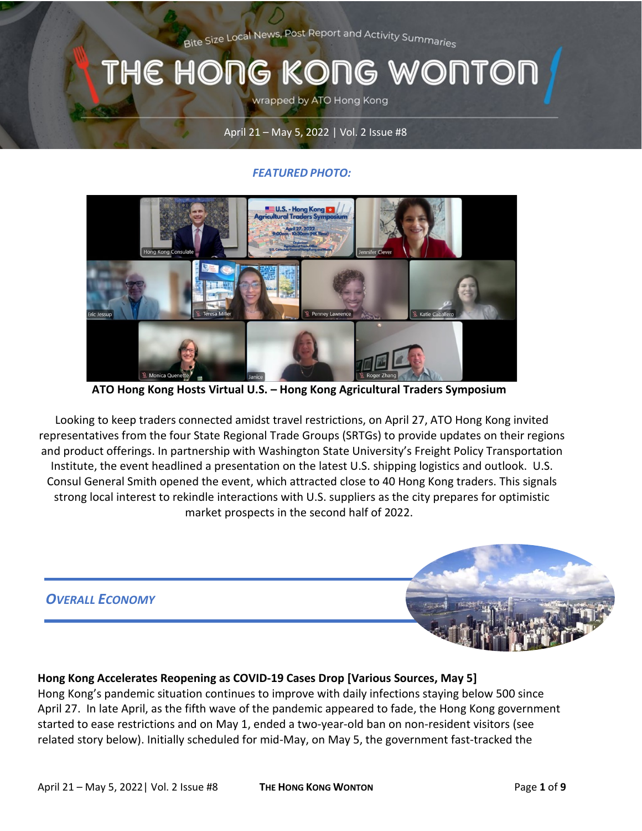Bite Size Local News, Post Report and Activity Summaries

# THE HONG KONG WONTON

wrapped by ATO Hong Kong

#### April 21 – May 5, 2022 | Vol. 2 Issue #8

#### *FEATURED PHOTO:*



**ATO Hong Kong Hosts Virtual U.S. – Hong Kong Agricultural Traders Symposium** 

Looking to keep traders connected amidst travel restrictions, on April 27, ATO Hong Kong invited representatives from the four State Regional Trade Groups (SRTGs) to provide updates on their regions and product offerings. In partnership with Washington State University's Freight Policy Transportation Institute, the event headlined a presentation on the latest U.S. shipping logistics and outlook. U.S. Consul General Smith opened the event, which attracted close to 40 Hong Kong traders. This signals strong local interest to rekindle interactions with U.S. suppliers as the city prepares for optimistic market prospects in the second half of 2022.



#### **Hong Kong Accelerates Reopening as COVID-19 Cases Drop [Various Sources, May 5]**

Hong Kong's pandemic situation continues to improve with daily infections staying below 500 since April 27. In late April, as the fifth wave of the pandemic appeared to fade, the Hong Kong government started to ease restrictions and on May 1, ended a two-year-old ban on non-resident visitors (see related story below). Initially scheduled for mid-May, on May 5, the government fast-tracked the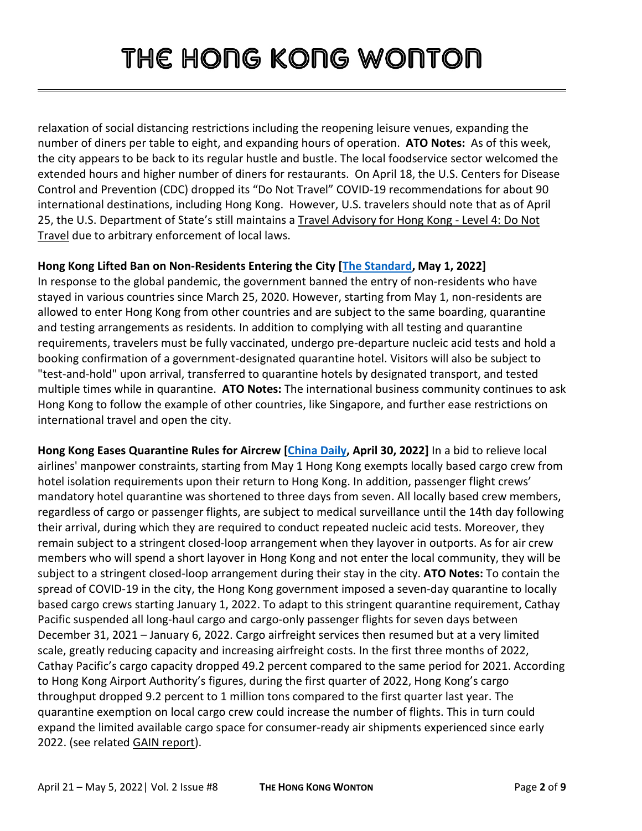relaxation of social distancing restrictions including the reopening leisure venues, expanding the number of diners per table to eight, and expanding hours of operation. **ATO Notes:** As of this week, the city appears to be back to its regular hustle and bustle. The local foodservice sector welcomed the extended hours and higher number of diners for restaurants. On April 18, the U.S. Centers for Disease Control and Prevention (CDC) dropped its "Do Not Travel" COVID-19 recommendations for about 90 international destinations, including Hong Kong. However, U.S. travelers should note that as of April 25, the U.S. Department of State's still maintains a [Travel Advisory for Hong Kong -](https://travel.state.gov/content/travel/en/international-travel/International-Travel-Country-Information-Pages/HongKong.html) Level 4: Do Not [Travel](https://travel.state.gov/content/travel/en/international-travel/International-Travel-Country-Information-Pages/HongKong.html) due to arbitrary enforcement of local laws.

#### **Hong Kong Lifted Ban on Non-Residents Entering the City [\[The Standard,](https://www.thestandard.com.hk/breaking-news/section/4/189690/Hong-Kong-lifted-ban-on-non-residents-entering-the-city) May 1, 2022]**

In response to the global pandemic, the government banned the entry of non-residents who have stayed in various countries since March 25, 2020. However, starting from May 1, non-residents are allowed to enter Hong Kong from other countries and are subject to the same boarding, quarantine and testing arrangements as residents. In addition to complying with all testing and quarantine requirements, travelers must be fully vaccinated, undergo pre-departure nucleic acid tests and hold a booking confirmation of a government-designated quarantine hotel. Visitors will also be subject to "test-and-hold" upon arrival, transferred to quarantine hotels by designated transport, and tested multiple times while in quarantine. **ATO Notes:** The international business community continues to ask Hong Kong to follow the example of other countries, like Singapore, and further ease restrictions on international travel and open the city.

**Hong Kong Eases Quarantine Rules for Aircrew [\[China Daily,](https://www.chinadailyhk.com/article/269778) April 30, 2022]** In a bid to relieve local airlines' manpower constraints, starting from May 1 Hong Kong exempts locally based cargo crew from hotel isolation requirements upon their return to Hong Kong. In addition, passenger flight crews' mandatory hotel quarantine was shortened to three days from seven. All locally based crew members, regardless of cargo or passenger flights, are subject to medical surveillance until the 14th day following their arrival, during which they are required to conduct repeated nucleic acid tests. Moreover, they remain subject to a stringent closed-loop arrangement when they layover in outports. As for air crew members who will spend a short layover in Hong Kong and not enter the local community, they will be subject to a stringent closed-loop arrangement during their stay in the city. **ATO Notes:** To contain the spread of COVID-19 in the city, the Hong Kong government imposed a seven-day quarantine to locally based cargo crews starting January 1, 2022. To adapt to this stringent quarantine requirement, Cathay Pacific suspended all long-haul cargo and cargo-only passenger flights for seven days between December 31, 2021 – January 6, 2022. Cargo airfreight services then resumed but at a very limited scale, greatly reducing capacity and increasing airfreight costs. In the first three months of 2022, Cathay Pacific's cargo capacity dropped 49.2 percent compared to the same period for 2021. According to Hong Kong Airport Authority's figures, during the first quarter of 2022, Hong Kong's cargo throughput dropped 9.2 percent to 1 million tons compared to the first quarter last year. The quarantine exemption on local cargo crew could increase the number of flights. This in turn could expand the limited available cargo space for consumer-ready air shipments experienced since early 2022. (see relate[d GAIN report\)](https://apps.fas.usda.gov/newgainapi/api/Report/DownloadReportByFileName?fileName=Flight%20Suspensions%20Add%20to%20US%20Agricultural%20Shipping%20Woes_Hong%20Kong_Hong%20Kong_01-14-2022).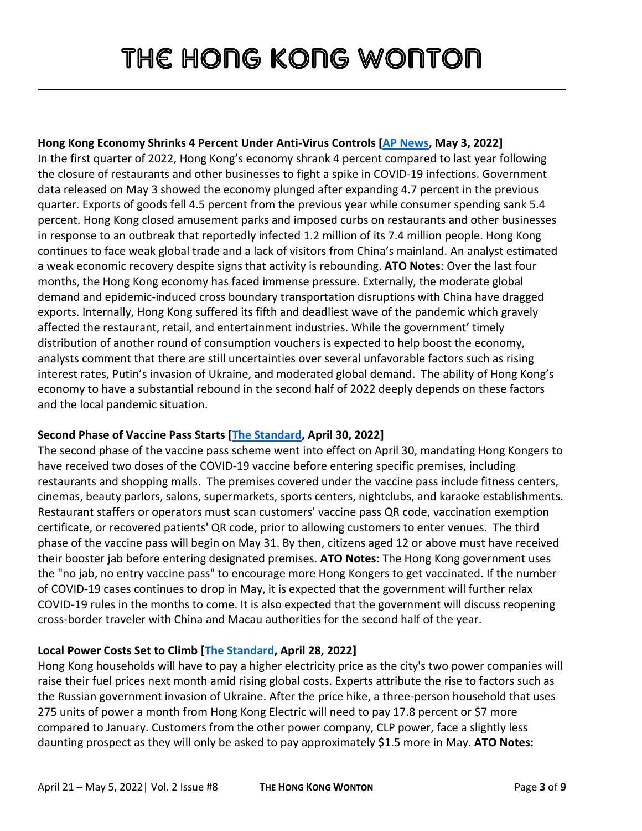#### **Hong Kong Economy Shrinks 4 Percent Under Anti-Virus Controls [\[AP News,](https://apnews.com/article/covid-health-travel-business-global-trade-dd651e35fa89764dd80b485cc9b2e9d7may) May 3, 2022]**

In the first quarter of 2022, Hong Kong's economy shrank 4 percent compared to last year following the closure of restaurants and other businesses to fight a spike in COVID-19 infections. Government data released on May 3 showed the economy plunged after expanding 4.7 percent in the previous quarter. Exports of goods fell 4.5 percent from the previous year while consumer spending sank 5.4 percent. Hong Kong closed amusement parks and imposed curbs on restaurants and other businesses in response to an outbreak that reportedly infected 1.2 million of its 7.4 million people. Hong Kong continues to face weak global trade and a lack of visitors from China's mainland. An analyst estimated a weak economic recovery despite signs that activity is rebounding. **ATO Notes**: Over the last four months, the Hong Kong economy has faced immense pressure. Externally, the moderate global demand and epidemic-induced cross boundary transportation disruptions with China have dragged exports. Internally, Hong Kong suffered its fifth and deadliest wave of the pandemic which gravely affected the restaurant, retail, and entertainment industries. While the government' timely distribution of another round of consumption vouchers is expected to help boost the economy, analysts comment that there are still uncertainties over several unfavorable factors such as rising interest rates, Putin's invasion of Ukraine, and moderated global demand. The ability of Hong Kong's economy to have a substantial rebound in the second half of 2022 deeply depends on these factors and the local pandemic situation.

### **Second Phase of Vaccine Pass Starts [\[The Standard,](https://www.thestandard.com.hk/breaking-news/section/4/189670/Second-phase-of-vaccine-pass-starts-on-Saturday) April 30, 2022]**

The second phase of the vaccine pass scheme went into effect on April 30, mandating Hong Kongers to have received two doses of the COVID-19 vaccine before entering specific premises, including restaurants and shopping malls. The premises covered under the vaccine pass include fitness centers, cinemas, beauty parlors, salons, supermarkets, sports centers, nightclubs, and karaoke establishments. Restaurant staffers or operators must scan customers' vaccine pass QR code, vaccination exemption certificate, or recovered patients' QR code, prior to allowing customers to enter venues. The third phase of the vaccine pass will begin on May 31. By then, citizens aged 12 or above must have received their booster jab before entering designated premises. **ATO Notes:** The Hong Kong government uses the "no jab, no entry vaccine pass" to encourage more Hong Kongers to get vaccinated. If the number of COVID-19 cases continues to drop in May, it is expected that the government will further relax COVID-19 rules in the months to come. It is also expected that the government will discuss reopening cross-border traveler with China and Macau authorities for the second half of the year.

#### **Local Power Costs Set to Climb [\[The Standard,](https://www.thestandard.com.hk/section-news/section/4/241227/Power-costs-set-to-climb) April 28, 2022]**

Hong Kong households will have to pay a higher electricity price as the city's two power companies will raise their fuel prices next month amid rising global costs. Experts attribute the rise to factors such as the Russian government invasion of Ukraine. After the price hike, a three-person household that uses 275 units of power a month from Hong Kong Electric will need to pay 17.8 percent or \$7 more compared to January. Customers from the other power company, CLP power, face a slightly less daunting prospect as they will only be asked to pay approximately \$1.5 more in May. **ATO Notes:**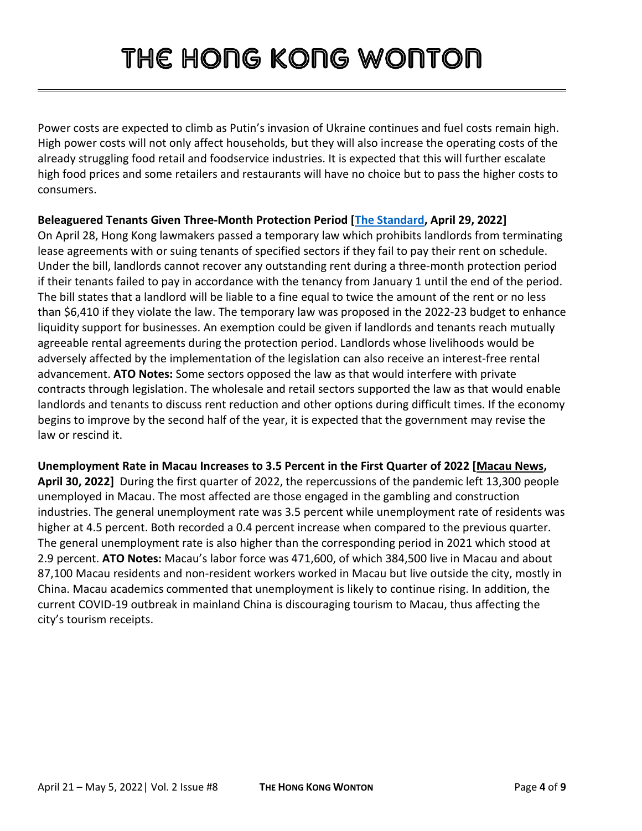Power costs are expected to climb as Putin's invasion of Ukraine continues and fuel costs remain high. High power costs will not only affect households, but they will also increase the operating costs of the already struggling food retail and foodservice industries. It is expected that this will further escalate high food prices and some retailers and restaurants will have no choice but to pass the higher costs to consumers.

**Beleaguered Tenants Given Three-Month Protection Period [\[The Standard,](https://www.thestandard.com.hk/section-news/section/4/241283/Landlords-can) April 29, 2022]** On April 28, Hong Kong lawmakers passed a temporary law which prohibits landlords from terminating lease agreements with or suing tenants of specified sectors if they fail to pay their rent on schedule. Under the bill, landlords cannot recover any outstanding rent during a three-month protection period if their tenants failed to pay in accordance with the tenancy from January 1 until the end of the period. The bill states that a landlord will be liable to a fine equal to twice the amount of the rent or no less than \$6,410 if they violate the law. The temporary law was proposed in the 2022-23 budget to enhance liquidity support for businesses. An exemption could be given if landlords and tenants reach mutually agreeable rental agreements during the protection period. Landlords whose livelihoods would be adversely affected by the implementation of the legislation can also receive an interest-free rental advancement. **ATO Notes:** Some sectors opposed the law as that would interfere with private contracts through legislation. The wholesale and retail sectors supported the law as that would enable landlords and tenants to discuss rent reduction and other options during difficult times. If the economy begins to improve by the second half of the year, it is expected that the government may revise the law or rescind it.

**Unemployment Rate in Macau Increases to 3.5 Percent in the First Quarter of 2022 [Macau News, April 30, 2022]** During the first quarter of 2022, the repercussions of the pandemic left 13,300 people unemployed in Macau. The most affected are those engaged in the gambling and construction industries. The general unemployment rate was 3.5 percent while unemployment rate of residents was higher at 4.5 percent. Both recorded a 0.4 percent increase when compared to the previous quarter. The general unemployment rate is also higher than the corresponding period in 2021 which stood at 2.9 percent. **ATO Notes:** Macau's labor force was 471,600, of which 384,500 live in Macau and about 87,100 Macau residents and non-resident workers worked in Macau but live outside the city, mostly in China. Macau academics commented that unemployment is likely to continue rising. In addition, the current COVID-19 outbreak in mainland China is discouraging tourism to Macau, thus affecting the city's tourism receipts.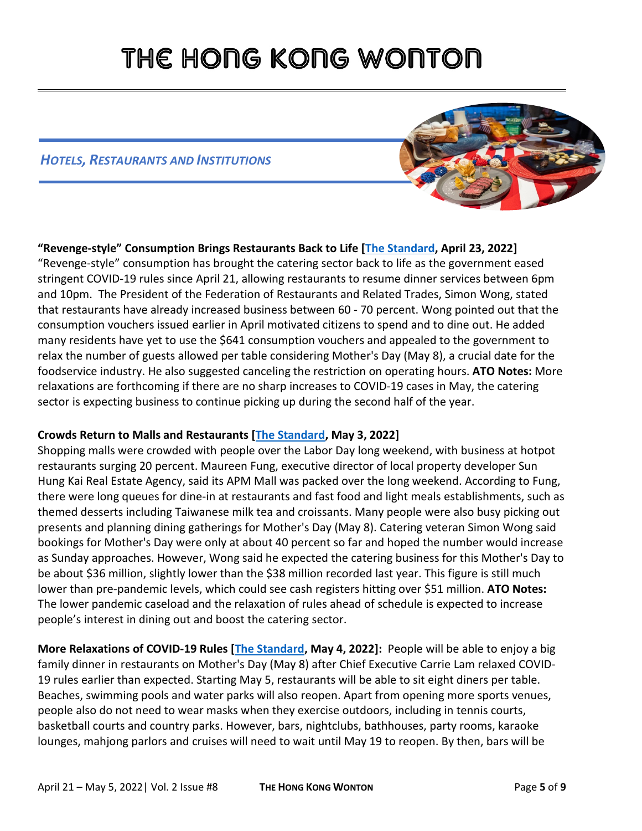#### *HOTELS, RESTAURANTS AND INSTITUTIONS*



### **"Revenge-style" Consumption Brings Restaurants Back to Life [\[The Standard,](https://www.thestandard.com.hk/breaking-news/section/4/189448/) April 23, 2022]**  "Revenge-style" consumption has brought the catering sector back to life as the government eased stringent COVID-19 rules since April 21, allowing restaurants to resume dinner services between 6pm and 10pm. The President of the Federation of Restaurants and Related Trades, Simon Wong, stated that restaurants have already increased business between 60 - 70 percent. Wong pointed out that the consumption vouchers issued earlier in April motivated citizens to spend and to dine out. He added many residents have yet to use the \$641 consumption vouchers and appealed to the government to relax the number of guests allowed per table considering Mother's Day (May 8), a crucial date for the foodservice industry. He also suggested canceling the restriction on operating hours. **ATO Notes:** More relaxations are forthcoming if there are no sharp increases to COVID-19 cases in May, the catering sector is expecting business to continue picking up during the second half of the year.

#### **Crowds Return to Malls and Restaurants [\[The Standard,](https://www.thestandard.com.hk/section-news/section/4/241327/Malls-and-hotpot-places-packed) May 3, 2022]**

Shopping malls were crowded with people over the Labor Day long weekend, with business at hotpot restaurants surging 20 percent. Maureen Fung, executive director of local property developer Sun Hung Kai Real Estate Agency, said its APM Mall was packed over the long weekend. According to Fung, there were long queues for dine-in at restaurants and fast food and light meals establishments, such as themed desserts including Taiwanese milk tea and croissants. Many people were also busy picking out presents and planning dining gatherings for Mother's Day (May 8). Catering veteran Simon Wong said bookings for Mother's Day were only at about 40 percent so far and hoped the number would increase as Sunday approaches. However, Wong said he expected the catering business for this Mother's Day to be about \$36 million, slightly lower than the \$38 million recorded last year. This figure is still much lower than pre-pandemic levels, which could see cash registers hitting over \$51 million. **ATO Notes:** The lower pandemic caseload and the relaxation of rules ahead of schedule is expected to increase people's interest in dining out and boost the catering sector.

**More Relaxations of COVID-19 Rules [\[The Standard,](https://www.thestandard.com.hk/section-news/section/11/241380/Eased-curbs-to-enrich-Mother) May 4, 2022]:** People will be able to enjoy a big family dinner in restaurants on Mother's Day (May 8) after Chief Executive Carrie Lam relaxed COVID-19 rules earlier than expected. Starting May 5, restaurants will be able to sit eight diners per table. Beaches, swimming pools and water parks will also reopen. Apart from opening more sports venues, people also do not need to wear masks when they exercise outdoors, including in tennis courts, basketball courts and country parks. However, bars, nightclubs, bathhouses, party rooms, karaoke lounges, mahjong parlors and cruises will need to wait until May 19 to reopen. By then, bars will be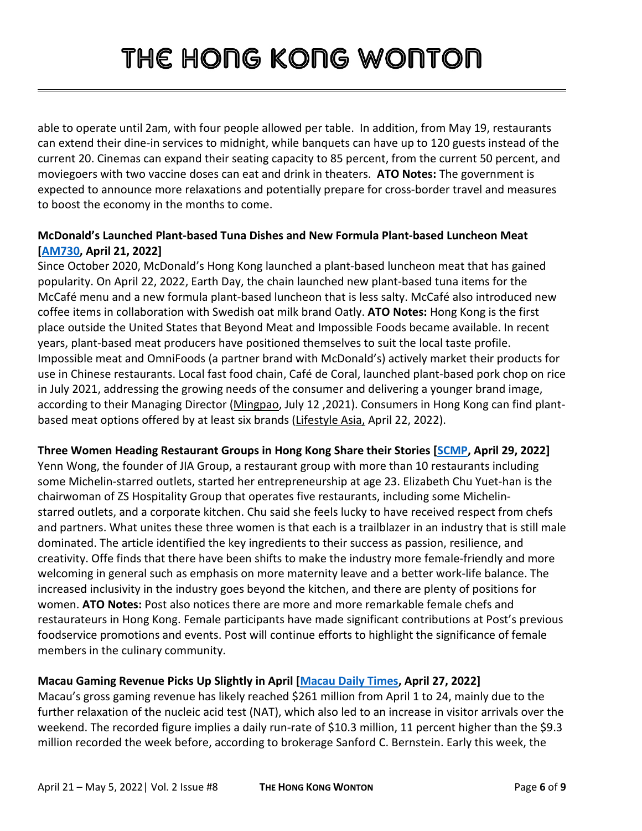able to operate until 2am, with four people allowed per table. In addition, from May 19, restaurants can extend their dine-in services to midnight, while banquets can have up to 120 guests instead of the current 20. Cinemas can expand their seating capacity to 85 percent, from the current 50 percent, and moviegoers with two vaccine doses can eat and drink in theaters. **ATO Notes:** The government is expected to announce more relaxations and potentially prepare for cross-border travel and measures to boost the economy in the months to come.

#### **McDonald's Launched Plant-based Tuna Dishes and New Formula Plant-based Luncheon Meat [\[AM730,](https://www.am730.com.hk/%E7%94%9F%E6%B4%BB/%E6%96%B0%E5%93%81%E9%80%9F%E9%81%9E-%E9%BA%A5%E7%95%B6%E5%8B%9E%E6%8E%A8%E5%85%A8%E6%96%B0-%E7%B4%94%E6%A4%8D%E7%89%A9%E8%A3%BD%E7%BE%8E%E9%A3%9F-%E6%96%B0%E5%90%9E%E6%8B%BF%E7%B3%BB%E5%88%97-%E5%B2%A9%E9%B9%BD%E7%84%A6%E7%B3%96%E7%87%95%E9%BA%A5%E5%92%96%E5%95%A1-%E6%96%B0%E9%85%8D%E6%96%B9%E6%96%B0%E9%A4%90%E8%82%89-%E9%A6%96%E5%91%A8%E4%BB%B2%E6%9C%89%E9%99%90%E5%AE%9A%E5%84%AA%E6%83%A0/316382) April 21, 2022]**

Since October 2020, McDonald's Hong Kong launched a plant-based luncheon meat that has gained popularity. On April 22, 2022, Earth Day, the chain launched new plant-based tuna items for the McCafé menu and a new formula plant-based luncheon that is less salty. McCafé also introduced new coffee items in collaboration with Swedish oat milk brand Oatly. **ATO Notes:** Hong Kong is the first place outside the United States that Beyond Meat and Impossible Foods became available. In recent years, plant-based meat producers have positioned themselves to suit the local taste profile. Impossible meat and OmniFoods (a partner brand with McDonald's) actively market their products for use in Chinese restaurants. Local fast food chain, Café de Coral, launched plant-based pork chop on rice in July 2021, addressing the growing needs of the consumer and delivering a younger brand image, according to their Managing Director [\(Mingpao,](https://finance.mingpao.com/fin/instantf/20210712/1626065385165/%E5%A4%A7%E5%AE%B6%E6%A8%82-%E6%8E%A8%E5%84%AA%E8%B3%AA%E6%A4%8D%E7%89%A9%E8%82%89%E3%80%8C%E6%8B%9B%E7%89%8C%E7%84%97%E7%B4%A0%E8%B1%AC%E6%89%92%E9%A3%AF%E3%80%8D) July 12 ,2021). Consumers in Hong Kong can find plantbased meat options offered by at least six brands [\(Lifestyle Asia,](https://www.lifestyleasia.com/hk/food-drink/dining/best-plant-based-meat-substitutes-alternatives-hong-kong-where-to-eat/)) April 22, 2022).

**Three Women Heading Restaurant Groups in Hong Kong Share their Stories [\[SCMP,](https://www.scmp.com/lifestyle/food-drink/article/3175675/passion-creativity-resilience-ingredients-success-three-women) April 29, 2022]** Yenn Wong, the founder of JIA Group, a restaurant group with more than 10 restaurants including some Michelin-starred outlets, started her entrepreneurship at age 23. Elizabeth Chu Yuet-han is the chairwoman of ZS Hospitality Group that operates five restaurants, including some Michelinstarred outlets, and a corporate kitchen. Chu said she feels lucky to have received respect from chefs and partners. What unites these three women is that each is a trailblazer in an industry that is still male dominated. The article identified the key ingredients to their success as passion, resilience, and creativity. Offe finds that there have been shifts to make the industry more female-friendly and more welcoming in general such as emphasis on more maternity leave and [a better work-life balance.](https://www.scmp.com/lifestyle/health-wellness/article/3156205/shorter-work-week-hong-kong-restaurants-staff-health-and?module=inline&pgtype=article) The increased inclusivity in the industry goes beyond the kitchen, and there are plenty of positions for women. **ATO Notes:** Post also notices there are more and more remarkable female chefs and restaurateurs in Hong Kong. Female participants have made significant contributions at Post's previous foodservice promotions and events. Post will continue efforts to highlight the significance of female members in the culinary community.

#### **Macau Gaming Revenue Picks Up Slightly in April [\[Macau Daily Times,](https://macaudailytimes.com.mo/gaming-revenue-slightly-picks-up-yet-still-subdued.html) April 27, 2022]**

Macau's gross gaming revenue has likely reached \$261 million from April 1 to 24, mainly due to the further relaxation of the nucleic acid test (NAT), which also led to an increase in visitor arrivals over the weekend. The recorded figure implies a daily run-rate of \$10.3 million, 11 percent higher than the \$9.3 million recorded the week before, according to brokerage Sanford C. Bernstein. Early this week, the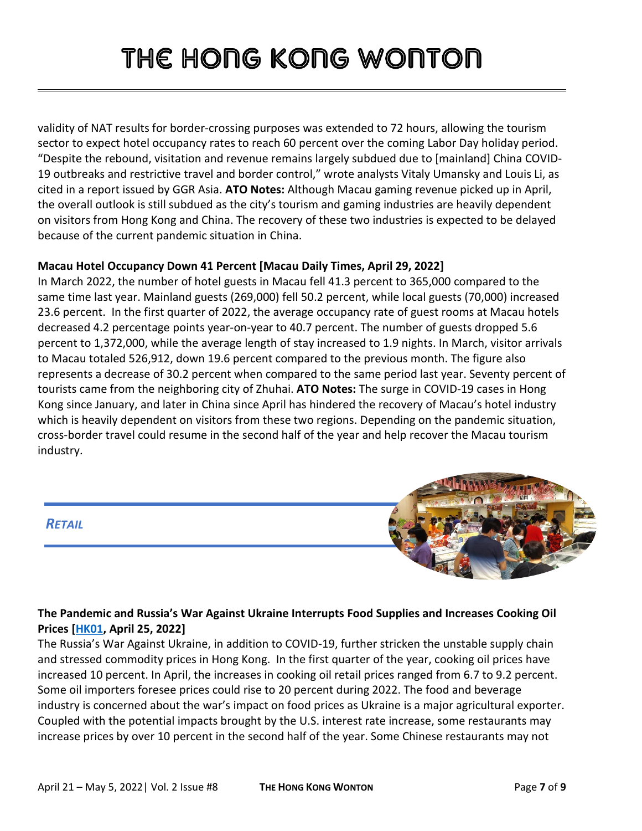validity of NAT results for border-crossing purposes was extended to 72 hours, allowing the tourism sector to expect hotel occupancy rates to reach 60 percent over the coming Labor Day holiday period. "Despite the rebound, visitation and revenue remains largely subdued due to [mainland] China COVID-19 outbreaks and restrictive travel and border control," wrote analysts Vitaly Umansky and Louis Li, as cited in a report issued by GGR Asia. **ATO Notes:** Although Macau gaming revenue picked up in April, the overall outlook is still subdued as the city's tourism and gaming industries are heavily dependent on visitors from Hong Kong and China. The recovery of these two industries is expected to be delayed because of the current pandemic situation in China.

#### **Macau Hotel Occupancy Down 41 Percent [Macau Daily Times, April 29, 2022]**

In March 2022, the number of hotel guests in Macau fell 41.3 percent to 365,000 compared to the same time last year. Mainland guests (269,000) fell 50.2 percent, while local guests (70,000) increased 23.6 percent. In the first quarter of 2022, the average occupancy rate of guest rooms at Macau hotels decreased 4.2 percentage points year-on-year to 40.7 percent. The number of guests dropped 5.6 percent to 1,372,000, while the average length of stay increased to 1.9 nights. In March, visitor arrivals to Macau totaled 526,912, down 19.6 percent compared to the previous month. The figure also represents a decrease of 30.2 percent when compared to the same period last year. Seventy percent of tourists came from the neighboring city of Zhuhai. **ATO Notes:** The surge in COVID-19 cases in Hong Kong since January, and later in China since April has hindered the recovery of Macau's hotel industry which is heavily dependent on visitors from these two regions. Depending on the pandemic situation, cross-border travel could resume in the second half of the year and help recover the Macau tourism industry.



### *RETAIL*

#### **The Pandemic and Russia's War Against Ukraine Interrupts Food Supplies and Increases Cooking Oil Prices [\[HK01,](https://www.hk01.com/sns/article/762860) April 25, 2022]**

The Russia's War Against Ukraine, in addition to COVID-19, further stricken the unstable supply chain and stressed commodity prices in Hong Kong. In the first quarter of the year, cooking oil prices have increased 10 percent. In April, the increases in cooking oil retail prices ranged from 6.7 to 9.2 percent. Some oil importers foresee prices could rise to 20 percent during 2022. The food and beverage industry is concerned about the war's impact on food prices as Ukraine is a major agricultural exporter. Coupled with the potential impacts brought by the U.S. interest rate increase, some restaurants may increase prices by over 10 percent in the second half of the year. Some Chinese restaurants may not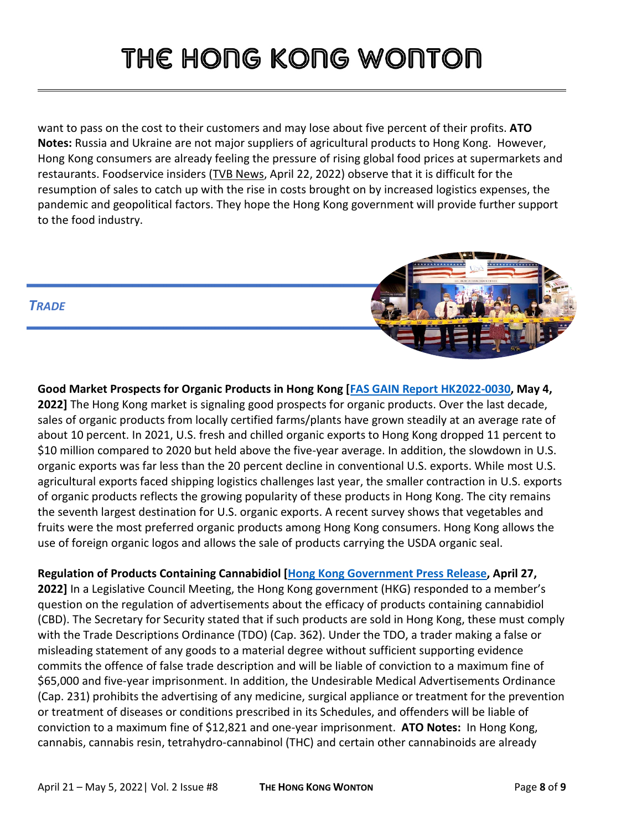want to pass on the cost to their customers and may lose about five percent of their profits. **ATO Notes:** Russia and Ukraine are not major suppliers of agricultural products to Hong Kong. However, Hong Kong consumers are already feeling the pressure of rising global food prices at supermarkets and restaurants. Foodservice insiders [\(TVB News,](https://news.tvb.com/finance/62625b2ce774ffcf04e54580) April 22, 2022) observe that it is difficult for the resumption of sales to catch up with the rise in costs brought on by increased logistics expenses, the pandemic and geopolitical factors. They hope the Hong Kong government will provide further support to the food industry.



**Good Market Prospects for Organic Products in Hong Kong [\[FAS GAIN Report HK2022-0030,](https://gain.fas.usda.gov/#/search) May 4, 2022]** The Hong Kong market is signaling good prospects for organic products. Over the last decade, sales of organic products from locally certified farms/plants have grown steadily at an average rate of about 10 percent. In 2021, U.S. fresh and chilled organic exports to Hong Kong dropped 11 percent to \$10 million compared to 2020 but held above the five-year average. In addition, the slowdown in U.S. organic exports was far less than the 20 percent decline in conventional U.S. exports. While most U.S. agricultural exports faced shipping logistics challenges last year, the smaller contraction in U.S. exports of organic products reflects the growing popularity of these products in Hong Kong. The city remains the seventh largest destination for U.S. organic exports. A recent survey shows that vegetables and fruits were the most preferred organic products among Hong Kong consumers. Hong Kong allows the use of foreign organic logos and allows the sale of products carrying the USDA organic seal.

### **Regulation of Products Containing Cannabidiol [\[Hong Kong Government Press Release,](https://www.fas.usda.gov/data/hong-kong-hong-kong-moves-amend-legislation-include-cbd-dangerous-drug) April 27,**

**2022]** In a Legislative Council Meeting, the Hong Kong government (HKG) responded to a member's question on the regulation of advertisements about the efficacy of products containing cannabidiol (CBD). The Secretary for Security stated that if such products are sold in Hong Kong, these must comply with the Trade Descriptions Ordinance (TDO) (Cap. 362). Under the TDO, a trader making a false or misleading statement of any goods to a material degree without sufficient supporting evidence commits the offence of false trade description and will be liable of conviction to a maximum fine of \$65,000 and five-year imprisonment. In addition, the Undesirable Medical Advertisements Ordinance (Cap. 231) prohibits the advertising of any medicine, surgical appliance or treatment for the prevention or treatment of diseases or conditions prescribed in its Schedules, and offenders will be liable of conviction to a maximum fine of \$12,821 and one-year imprisonment. **ATO Notes:** In Hong Kong, cannabis, cannabis resin, tetrahydro-cannabinol (THC) and certain other cannabinoids are already